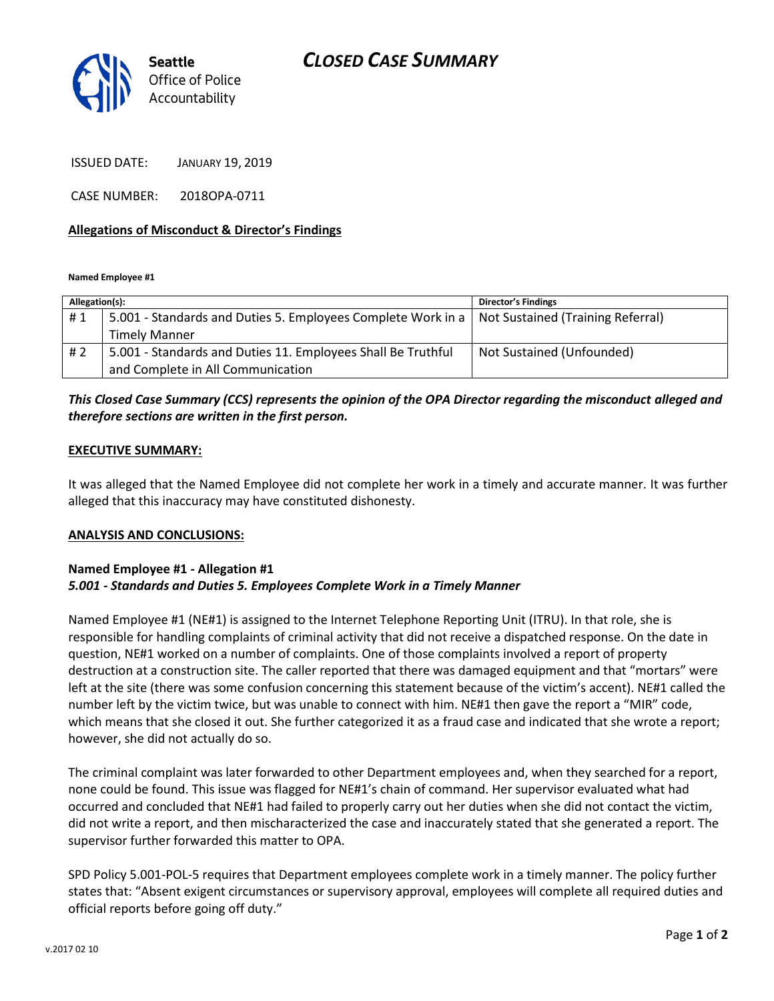# *CLOSED CASE SUMMARY*



ISSUED DATE: JANUARY 19, 2019

CASE NUMBER: 2018OPA-0711

## **Allegations of Misconduct & Director's Findings**

**Named Employee #1**

| Allegation(s): |                                                                                                  | <b>Director's Findings</b> |
|----------------|--------------------------------------------------------------------------------------------------|----------------------------|
| #1             | 5.001 - Standards and Duties 5. Employees Complete Work in a   Not Sustained (Training Referral) |                            |
|                | <b>Timely Manner</b>                                                                             |                            |
| #2             | 5.001 - Standards and Duties 11. Employees Shall Be Truthful                                     | Not Sustained (Unfounded)  |
|                | and Complete in All Communication                                                                |                            |

# *This Closed Case Summary (CCS) represents the opinion of the OPA Director regarding the misconduct alleged and therefore sections are written in the first person.*

### **EXECUTIVE SUMMARY:**

It was alleged that the Named Employee did not complete her work in a timely and accurate manner. It was further alleged that this inaccuracy may have constituted dishonesty.

#### **ANALYSIS AND CONCLUSIONS:**

## **Named Employee #1 - Allegation #1** *5.001 - Standards and Duties 5. Employees Complete Work in a Timely Manner*

Named Employee #1 (NE#1) is assigned to the Internet Telephone Reporting Unit (ITRU). In that role, she is responsible for handling complaints of criminal activity that did not receive a dispatched response. On the date in question, NE#1 worked on a number of complaints. One of those complaints involved a report of property destruction at a construction site. The caller reported that there was damaged equipment and that "mortars" were left at the site (there was some confusion concerning this statement because of the victim's accent). NE#1 called the number left by the victim twice, but was unable to connect with him. NE#1 then gave the report a "MIR" code, which means that she closed it out. She further categorized it as a fraud case and indicated that she wrote a report; however, she did not actually do so.

The criminal complaint was later forwarded to other Department employees and, when they searched for a report, none could be found. This issue was flagged for NE#1's chain of command. Her supervisor evaluated what had occurred and concluded that NE#1 had failed to properly carry out her duties when she did not contact the victim, did not write a report, and then mischaracterized the case and inaccurately stated that she generated a report. The supervisor further forwarded this matter to OPA.

SPD Policy 5.001-POL-5 requires that Department employees complete work in a timely manner. The policy further states that: "Absent exigent circumstances or supervisory approval, employees will complete all required duties and official reports before going off duty."